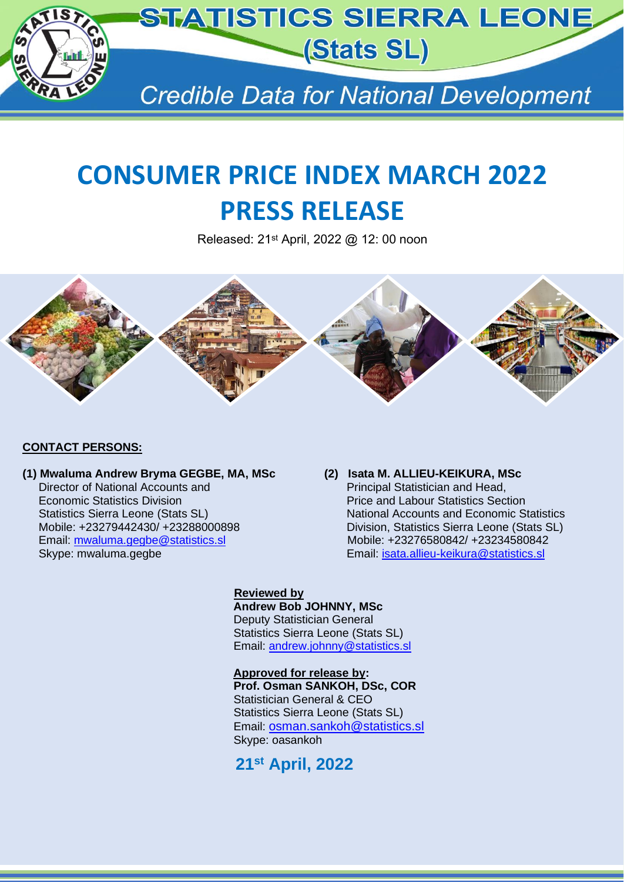

# **CONSUMER PRICE INDEX MARCH 2022 PRESS RELEASE**

Released: 21st April, 2022 @ 12: 00 noon



#### **CONTACT PERSONS:**

#### **(1) Mwaluma Andrew Bryma GEGBE, MA, MSc (2) Isata M. ALLIEU-KEIKURA, MSc** Director of National Accounts and Economic Statistics Division Price and Labour Statistics Section

# Statistics Sierra Leone (Stats SL) National Accounts and Economic Statistics Mobile: +23279442430/ +23288000898 Division, Statistics Sierra Leone (Stats SL) Email: [mwaluma.gegbe@statistics.sl](mailto:mwaluma.gegbe@statistics.sl) Mobile: +23276580842/ +23234580842 Skype: mwaluma.gegbe **Email:** [isata.allieu-keikura@statistics.sl](mailto:isata.allieu-keikura@statistics.sl)

#### **Reviewed by**

 **Andrew Bob JOHNNY, MSc** Deputy Statistician General Statistics Sierra Leone (Stats SL) Email: [andrew.johnny@statistics.sl](mailto:andrew.johnny@statistics.sl)

 **Approved for release by: Prof. Osman SANKOH, DSc, COR** Statistician General & CEO Statistics Sierra Leone (Stats SL) Email: osman.sankoh@statistics.sl Skype: oasankoh

**21st April, 2022**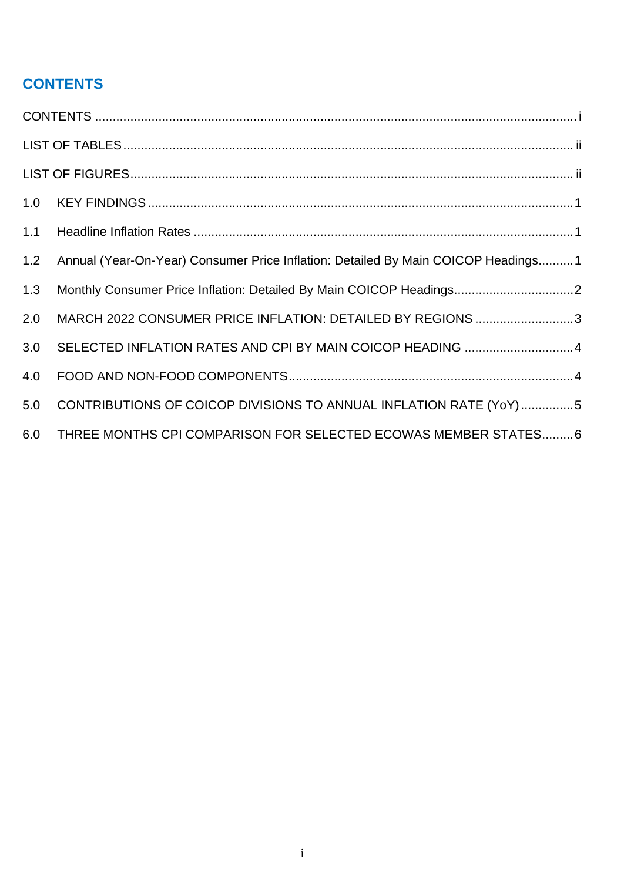## <span id="page-1-0"></span>**CONTENTS**

| 1.0 |                                                                                   |
|-----|-----------------------------------------------------------------------------------|
| 1.1 |                                                                                   |
| 1.2 | Annual (Year-On-Year) Consumer Price Inflation: Detailed By Main COICOP Headings1 |
| 1.3 | Monthly Consumer Price Inflation: Detailed By Main COICOP Headings2               |
| 2.0 | MARCH 2022 CONSUMER PRICE INFLATION: DETAILED BY REGIONS 3                        |
| 3.0 | SELECTED INFLATION RATES AND CPI BY MAIN COICOP HEADING 4                         |
| 4.0 |                                                                                   |
| 5.0 | CONTRIBUTIONS OF COICOP DIVISIONS TO ANNUAL INFLATION RATE (YoY)5                 |
| 6.0 | THREE MONTHS CPI COMPARISON FOR SELECTED ECOWAS MEMBER STATES 6                   |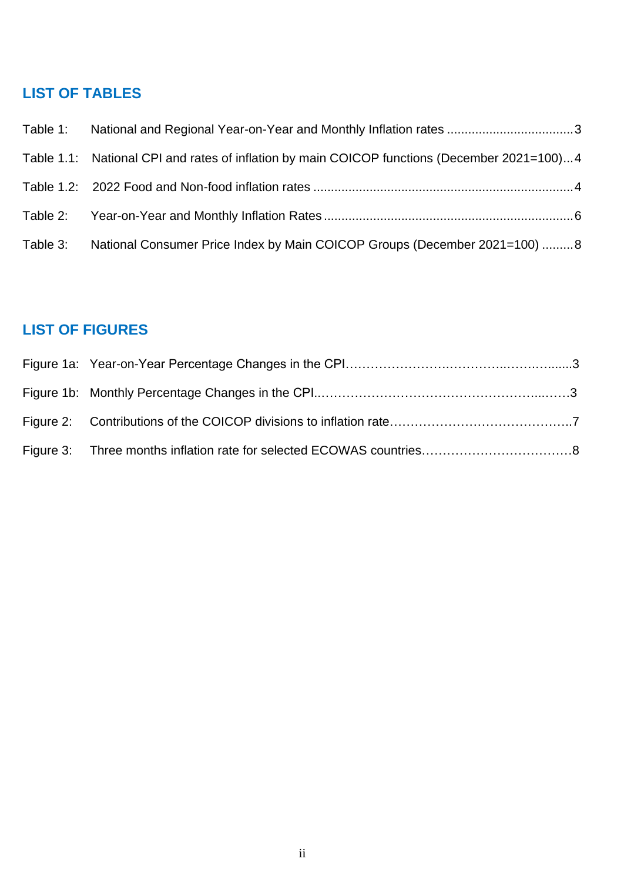# <span id="page-2-0"></span>**LIST OF TABLES**

|          | Table 1.1: National CPI and rates of inflation by main COICOP functions (December 2021=100)4 |
|----------|----------------------------------------------------------------------------------------------|
|          |                                                                                              |
|          |                                                                                              |
| Table 3: | National Consumer Price Index by Main COICOP Groups (December 2021=100) 8                    |

## <span id="page-2-1"></span>**LIST OF FIGURES**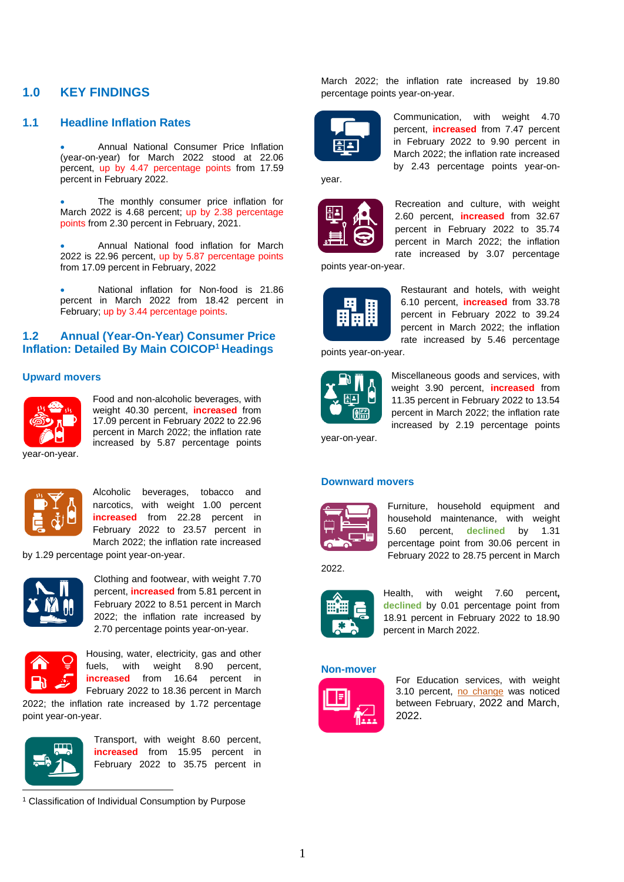#### <span id="page-3-0"></span>**1.0 KEY FINDINGS**

#### <span id="page-3-1"></span>**1.1 Headline Inflation Rates**

• Annual National Consumer Price Inflation (year-on-year) for March 2022 stood at 22.06 percent, up by 4.47 percentage points from 17.59 percent in February 2022.

The monthly consumer price inflation for March 2022 is 4.68 percent; up by 2.38 percentage points from 2.30 percent in February, 2021.

• Annual National food inflation for March 2022 is 22.96 percent, up by 5.87 percentage points from 17.09 percent in February, 2022

• National inflation for Non-food is 21.86 percent in March 2022 from 18.42 percent in February; up by 3.44 percentage points.

#### <span id="page-3-2"></span>**1.2 Annual (Year-On-Year) Consumer Price Inflation: Detailed By Main COICOP<sup>1</sup> Headings**

#### **Upward movers**



Food and non-alcoholic beverages, with weight 40.30 percent, **increased** from 17.09 percent in February 2022 to 22.96 percent in March 2022; the inflation rate increased by 5.87 percentage points

year-on-year.



Alcoholic beverages, tobacco and narcotics, with weight 1.00 percent **increased** from 22.28 percent in February 2022 to 23.57 percent in March 2022; the inflation rate increased

by 1.29 percentage point year-on-year.



Clothing and footwear, with weight 7.70 percent, **increased** from 5.81 percent in February 2022 to 8.51 percent in March 2022; the inflation rate increased by 2.70 percentage points year-on-year.



Housing, water, electricity, gas and other fuels, with weight 8.90 percent, **increased** from 16.64 percent in February 2022 to 18.36 percent in March

2022; the inflation rate increased by 1.72 percentage point year-on-year.



Transport, with weight 8.60 percent, **increased** from 15.95 percent in February 2022 to 35.75 percent in

<sup>1</sup> Classification of Individual Consumption by Purpose

March 2022; the inflation rate increased by 19.80 percentage points year-on-year.



Communication, with weight 4.70 percent, **increased** from 7.47 percent in February 2022 to 9.90 percent in March 2022; the inflation rate increased by 2.43 percentage points year-on-

year.



Recreation and culture, with weight 2.60 percent, **increased** from 32.67 percent in February 2022 to 35.74 percent in March 2022; the inflation rate increased by 3.07 percentage

points year-on-year.



Restaurant and hotels, with weight 6.10 percent, **increased** from 33.78 percent in February 2022 to 39.24 percent in March 2022; the inflation rate increased by 5.46 percentage

points year-on-year.



Miscellaneous goods and services, with weight 3.90 percent, **increased** from 11.35 percent in February 2022 to 13.54 percent in March 2022; the inflation rate increased by 2.19 percentage points

year-on-year.

#### **Downward movers**



Furniture, household equipment and household maintenance, with weight 5.60 percent, **declined** by 1.31 percentage point from 30.06 percent in February 2022 to 28.75 percent in March

2022.



Health, with weight 7.60 percent**, declined** by 0.01 percentage point from 18.91 percent in February 2022 to 18.90 percent in March 2022.

#### **Non-mover**



For Education services, with weight 3.10 percent, no change was noticed between February, 2022 and March, 2022.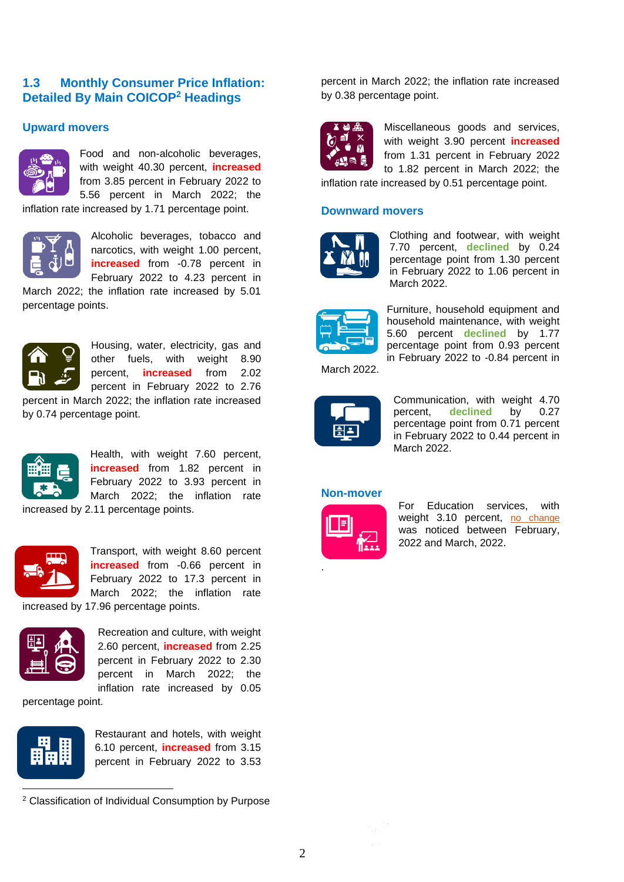#### <span id="page-4-0"></span>**1.3 Monthly Consumer Price Inflation: Detailed By Main COICOP<sup>2</sup> Headings**

#### **Upward movers**



Food and non-alcoholic beverages, with weight 40.30 percent, **increased** from 3.85 percent in February 2022 to 5.56 percent in March 2022; the

inflation rate increased by 1.71 percentage point.



Alcoholic beverages, tobacco and narcotics, with weight 1.00 percent, **increased** from -0.78 percent in February 2022 to 4.23 percent in

March 2022; the inflation rate increased by 5.01 percentage points.



Housing, water, electricity, gas and other fuels, with weight 8.90 percent, **increased** from 2.02 percent in February 2022 to 2.76

percent in March 2022; the inflation rate increased by 0.74 percentage point.



Health, with weight 7.60 percent, **increased** from 1.82 percent in February 2022 to 3.93 percent in March 2022; the inflation rate

increased by 2.11 percentage points.



Transport, with weight 8.60 percent **increased** from -0.66 percent in February 2022 to 17.3 percent in March 2022; the inflation rate

increased by 17.96 percentage points.



Recreation and culture, with weight 2.60 percent, **increased** from 2.25 percent in February 2022 to 2.30 percent in March 2022; the inflation rate increased by 0.05

percentage point.



Restaurant and hotels, with weight 6.10 percent, **increased** from 3.15 percent in February 2022 to 3.53

percent in March 2022; the inflation rate increased by 0.38 percentage point.



Miscellaneous goods and services, with weight 3.90 percent **increased** from 1.31 percent in February 2022 to 1.82 percent in March 2022; the

inflation rate increased by 0.51 percentage point.

#### **Downward movers**



Clothing and footwear, with weight 7.70 percent, **declined** by 0.24 percentage point from 1.30 percent in February 2022 to 1.06 percent in March 2022.



Furniture, household equipment and household maintenance, with weight 5.60 percent **declined** by 1.77 percentage point from 0.93 percent in February 2022 to -0.84 percent in

March 2022.



Communication, with weight 4.70 percent, **declined** by 0.27 percentage point from 0.71 percent in February 2022 to 0.44 percent in March 2022.

#### **Non-mover**



.

For Education services, with weight 3.10 percent, no change was noticed between February, 2022 and March, 2022.

<sup>2</sup> Classification of Individual Consumption by Purpose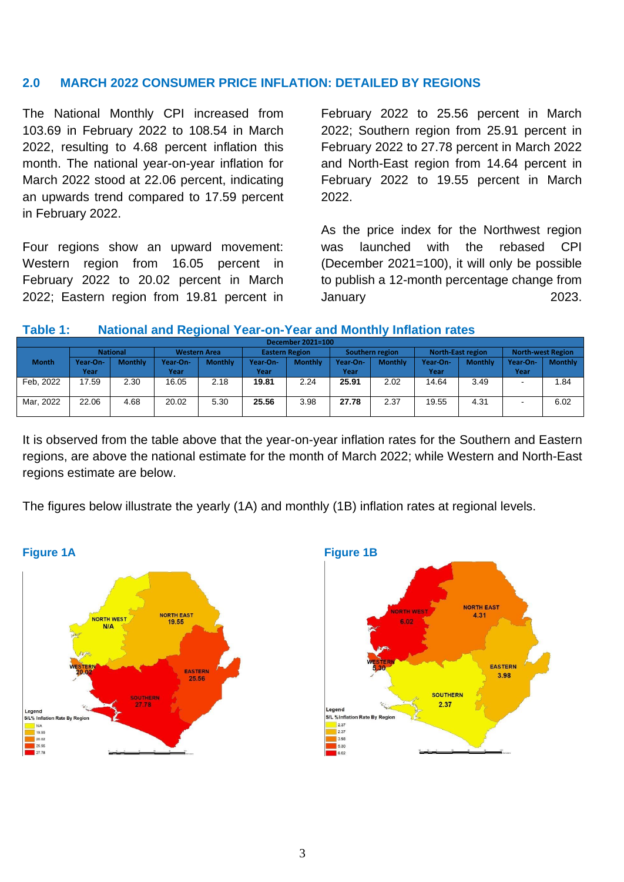#### <span id="page-5-0"></span>**2.0 MARCH 2022 CONSUMER PRICE INFLATION: DETAILED BY REGIONS**

The National Monthly CPI increased from 103.69 in February 2022 to 108.54 in March 2022, resulting to 4.68 percent inflation this month. The national year-on-year inflation for March 2022 stood at 22.06 percent, indicating an upwards trend compared to 17.59 percent in February 2022.

Four regions show an upward movement: Western region from 16.05 percent in February 2022 to 20.02 percent in March 2022; Eastern region from 19.81 percent in

February 2022 to 25.56 percent in March 2022; Southern region from 25.91 percent in February 2022 to 27.78 percent in March 2022 and North-East region from 14.64 percent in February 2022 to 19.55 percent in March 2022.

As the price index for the Northwest region was launched with the rebased CPI (December 2021=100), it will only be possible to publish a 12-month percentage change from January 2023.

#### <span id="page-5-1"></span>**Table 1: National and Regional Year-on-Year and Monthly Inflation rates**

|              | December 2021=100 |                |                     |                |                       |                |                 |                |                   |                |                          |                |  |  |  |
|--------------|-------------------|----------------|---------------------|----------------|-----------------------|----------------|-----------------|----------------|-------------------|----------------|--------------------------|----------------|--|--|--|
|              | <b>National</b>   |                | <b>Western Area</b> |                | <b>Eastern Region</b> |                | Southern region |                | North-East region |                | <b>North-west Region</b> |                |  |  |  |
| <b>Month</b> | Year-On-          | <b>Monthly</b> | Year-On-            | <b>Monthly</b> | Year-On-              | <b>Monthly</b> | <b>Year-On-</b> | <b>Monthly</b> | Year-On-          | <b>Monthly</b> | Year-On-                 | <b>Monthly</b> |  |  |  |
|              | Year              |                | Year                |                | Year                  |                | Year            |                | Year              |                | Year                     |                |  |  |  |
| Feb. 2022    | 17.59             | 2.30           | 16.05               | 2.18           | 19.81                 | 2.24           | 25.91           | 2.02           | 14.64             | 3.49           | $\sim$                   | 1.84           |  |  |  |
|              |                   |                |                     |                |                       |                |                 |                |                   |                |                          |                |  |  |  |
| Mar, 2022    | 22.06             | 4.68           | 20.02               | 5.30           | 25.56                 | 3.98           | 27.78           | 2.37           | 19.55             | 4.31           |                          | 6.02           |  |  |  |
|              |                   |                |                     |                |                       |                |                 |                |                   |                |                          |                |  |  |  |

It is observed from the table above that the year-on-year inflation rates for the Southern and Eastern regions, are above the national estimate for the month of March 2022; while Western and North-East regions estimate are below.

The figures below illustrate the yearly (1A) and monthly (1B) inflation rates at regional levels.



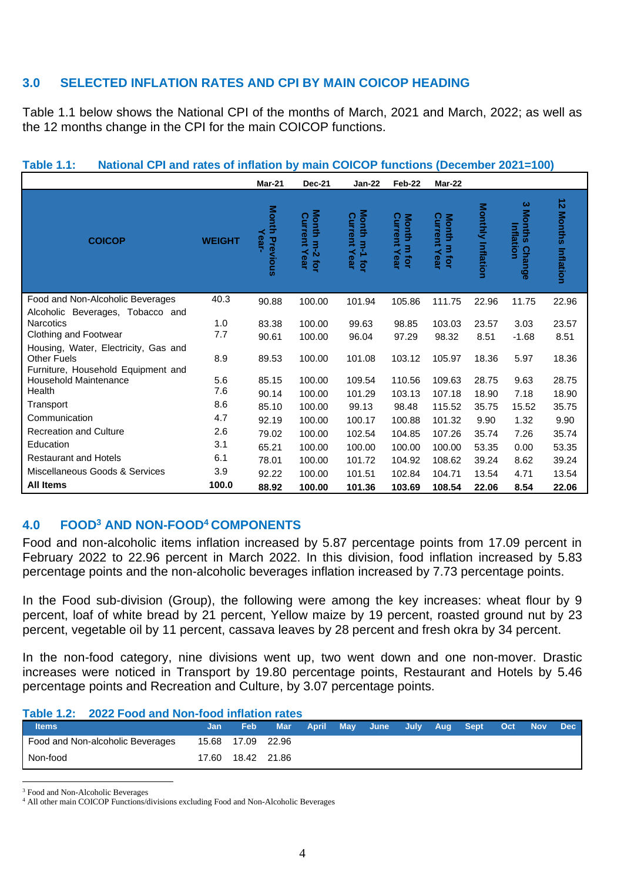#### <span id="page-6-0"></span>**3.0 SELECTED INFLATION RATES AND CPI BY MAIN COICOP HEADING**

Table 1.1 below shows the National CPI of the months of March, 2021 and March, 2022; as well as the 12 months change in the CPI for the main COICOP functions.

|                                                                                                  |               | Mar-21                        | <b>Dec-21</b>                        | <b>Jan-22</b>                        | Feb-22                             | Mar-22                                   |                          |                                                  |                                                          |
|--------------------------------------------------------------------------------------------------|---------------|-------------------------------|--------------------------------------|--------------------------------------|------------------------------------|------------------------------------------|--------------------------|--------------------------------------------------|----------------------------------------------------------|
| <b>COICOP</b>                                                                                    | <b>WEIGHT</b> | <b>Month Previous</b><br>Year | Month m-2 for<br><b>Current Year</b> | Month m-1 for<br><b>Current Year</b> | <b>Current Year</b><br>Month m for | Current<br><b>Month</b><br>m for<br>Year | <b>Monthly Inflation</b> | ω<br><b>Months</b><br>Inflation<br><b>Change</b> | ∸<br>$\boldsymbol{\kappa}$<br><b>Months</b><br>Inflation |
| Food and Non-Alcoholic Beverages                                                                 | 40.3          | 90.88                         | 100.00                               | 101.94                               | 105.86                             | 111.75                                   | 22.96                    | 11.75                                            | 22.96                                                    |
| Alcoholic Beverages, Tobacco and<br><b>Narcotics</b><br>Clothing and Footwear                    | 1.0<br>7.7    | 83.38<br>90.61                | 100.00<br>100.00                     | 99.63<br>96.04                       | 98.85<br>97.29                     | 103.03<br>98.32                          | 23.57<br>8.51            | 3.03<br>$-1.68$                                  | 23.57<br>8.51                                            |
| Housing, Water, Electricity, Gas and<br><b>Other Fuels</b><br>Furniture, Household Equipment and | 8.9           | 89.53                         | 100.00                               | 101.08                               | 103.12                             | 105.97                                   | 18.36                    | 5.97                                             | 18.36                                                    |
| <b>Household Maintenance</b>                                                                     | 5.6           | 85.15                         | 100.00                               | 109.54                               | 110.56                             | 109.63                                   | 28.75                    | 9.63                                             | 28.75                                                    |
| Health                                                                                           | 7.6           | 90.14                         | 100.00                               | 101.29                               | 103.13                             | 107.18                                   | 18.90                    | 7.18                                             | 18.90                                                    |
| Transport                                                                                        | 8.6           | 85.10                         | 100.00                               | 99.13                                | 98.48                              | 115.52                                   | 35.75                    | 15.52                                            | 35.75                                                    |
| Communication                                                                                    | 4.7           | 92.19                         | 100.00                               | 100.17                               | 100.88                             | 101.32                                   | 9.90                     | 1.32                                             | 9.90                                                     |
| <b>Recreation and Culture</b>                                                                    | 2.6           | 79.02                         | 100.00                               | 102.54                               | 104.85                             | 107.26                                   | 35.74                    | 7.26                                             | 35.74                                                    |
| Education                                                                                        | 3.1           | 65.21                         | 100.00                               | 100.00                               | 100.00                             | 100.00                                   | 53.35                    | 0.00                                             | 53.35                                                    |
| <b>Restaurant and Hotels</b>                                                                     | 6.1           | 78.01                         | 100.00                               | 101.72                               | 104.92                             | 108.62                                   | 39.24                    | 8.62                                             | 39.24                                                    |
| Miscellaneous Goods & Services                                                                   | 3.9           | 92.22                         | 100.00                               | 101.51                               | 102.84                             | 104.71                                   | 13.54                    | 4.71                                             | 13.54                                                    |
| <b>All Items</b>                                                                                 | 100.0         | 88.92                         | 100.00                               | 101.36                               | 103.69                             | 108.54                                   | 22.06                    | 8.54                                             | 22.06                                                    |

#### <span id="page-6-2"></span>**Table 1.1: National CPI and rates of inflation by main COICOP functions (December 2021=100)**

#### <span id="page-6-1"></span>**4.0 FOOD<sup>3</sup> AND NON-FOOD<sup>4</sup> COMPONENTS**

Food and non-alcoholic items inflation increased by 5.87 percentage points from 17.09 percent in February 2022 to 22.96 percent in March 2022. In this division, food inflation increased by 5.83 percentage points and the non-alcoholic beverages inflation increased by 7.73 percentage points.

In the Food sub-division (Group), the following were among the key increases: wheat flour by 9 percent, loaf of white bread by 21 percent, Yellow maize by 19 percent, roasted ground nut by 23 percent, vegetable oil by 11 percent, cassava leaves by 28 percent and fresh okra by 34 percent.

In the non-food category, nine divisions went up, two went down and one non-mover. Drastic increases were noticed in Transport by 19.80 percentage points, Restaurant and Hotels by 5.46 percentage points and Recreation and Culture, by 3.07 percentage points.

#### <span id="page-6-3"></span>**Table 1.2: 2022 Food and Non-food inflation rates**

| <b>Items</b>                     | /Jan  | <b>Feb</b> |             | Mar April | May June July Aug Sept |  | $\angle$ Oct $\angle$ | $\blacktriangleright$ Nov $\blacktriangleright$ | Dec l |
|----------------------------------|-------|------------|-------------|-----------|------------------------|--|-----------------------|-------------------------------------------------|-------|
| Food and Non-alcoholic Beverages | 15.68 | 17.09      | 22.96       |           |                        |  |                       |                                                 |       |
| Non-food                         | 17.60 |            | 18.42 21.86 |           |                        |  |                       |                                                 |       |

<sup>3</sup> Food and Non-Alcoholic Beverages

<sup>4</sup> All other main COICOP Functions/divisions excluding Food and Non-Alcoholic Beverages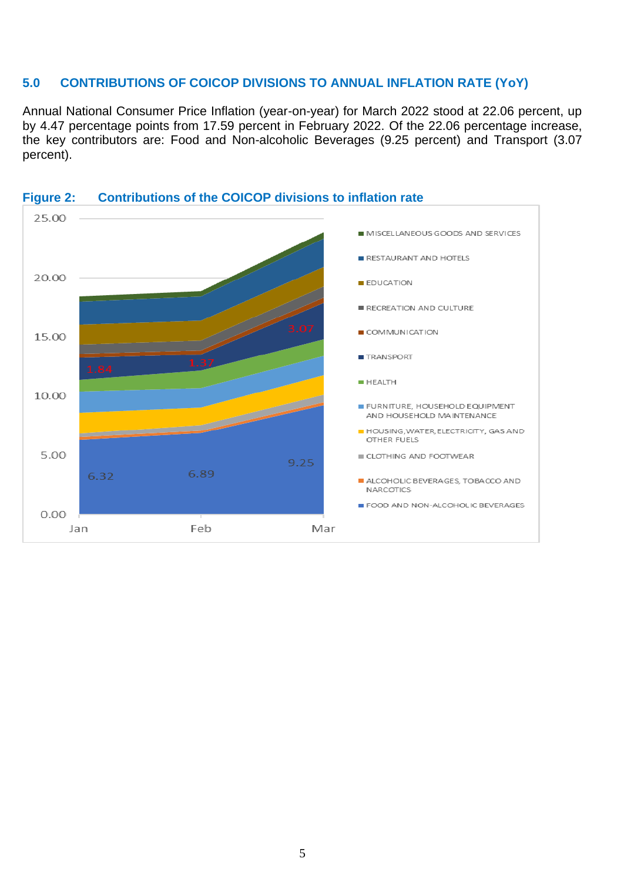#### <span id="page-7-0"></span>**5.0 CONTRIBUTIONS OF COICOP DIVISIONS TO ANNUAL INFLATION RATE (YoY)**

Annual National Consumer Price Inflation (year-on-year) for March 2022 stood at 22.06 percent, up by 4.47 percentage points from 17.59 percent in February 2022. Of the 22.06 percentage increase, the key contributors are: Food and Non-alcoholic Beverages (9.25 percent) and Transport (3.07 percent).



#### **Figure 2: Contributions of the COICOP divisions to inflation rate**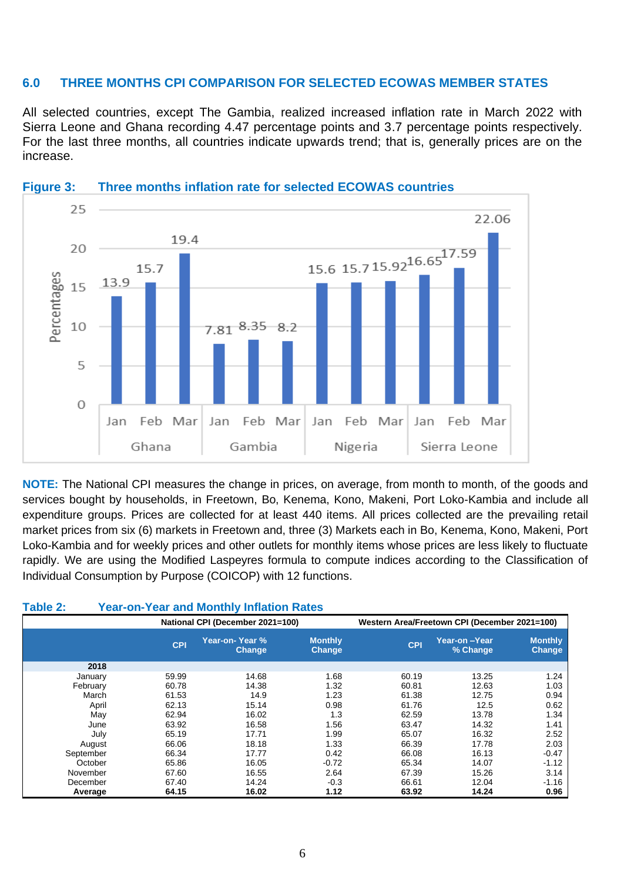#### <span id="page-8-0"></span>**6.0 THREE MONTHS CPI COMPARISON FOR SELECTED ECOWAS MEMBER STATES**

All selected countries, except The Gambia, realized increased inflation rate in March 2022 with Sierra Leone and Ghana recording 4.47 percentage points and 3.7 percentage points respectively. For the last three months, all countries indicate upwards trend; that is, generally prices are on the increase.



#### **Figure 3: Three months inflation rate for selected ECOWAS countries**

**NOTE:** The National CPI measures the change in prices, on average, from month to month, of the goods and services bought by households, in Freetown, Bo, Kenema, Kono, Makeni, Port Loko-Kambia and include all expenditure groups. Prices are collected for at least 440 items. All prices collected are the prevailing retail market prices from six (6) markets in Freetown and, three (3) Markets each in Bo, Kenema, Kono, Makeni, Port Loko-Kambia and for weekly prices and other outlets for monthly items whose prices are less likely to fluctuate rapidly. We are using the Modified Laspeyres formula to compute indices according to the Classification of Individual Consumption by Purpose (COICOP) with 12 functions.

#### <span id="page-8-1"></span>**Table 2: Year-on-Year and Monthly Inflation Rates**

|           |            | National CPI (December 2021=100) |                                 |            | Western Area/Freetown CPI (December 2021=100) |                                 |  |  |  |  |
|-----------|------------|----------------------------------|---------------------------------|------------|-----------------------------------------------|---------------------------------|--|--|--|--|
|           | <b>CPI</b> | Year-on-Year %<br><b>Change</b>  | <b>Monthly</b><br><b>Change</b> | <b>CPI</b> | Year-on-Year<br>% Change                      | <b>Monthly</b><br><b>Change</b> |  |  |  |  |
| 2018      |            |                                  |                                 |            |                                               |                                 |  |  |  |  |
| January   | 59.99      | 14.68                            | 1.68                            | 60.19      | 13.25                                         | 1.24                            |  |  |  |  |
| February  | 60.78      | 14.38                            | 1.32                            | 60.81      | 12.63                                         | 1.03                            |  |  |  |  |
| March     | 61.53      | 14.9                             | 1.23                            | 61.38      | 12.75                                         | 0.94                            |  |  |  |  |
| April     | 62.13      | 15.14                            | 0.98                            | 61.76      | 12.5                                          | 0.62                            |  |  |  |  |
| May       | 62.94      | 16.02                            | 1.3                             | 62.59      | 13.78                                         | 1.34                            |  |  |  |  |
| June      | 63.92      | 16.58                            | 1.56                            | 63.47      | 14.32                                         | 1.41                            |  |  |  |  |
| July      | 65.19      | 17.71                            | 1.99                            | 65.07      | 16.32                                         | 2.52                            |  |  |  |  |
| August    | 66.06      | 18.18                            | 1.33                            | 66.39      | 17.78                                         | 2.03                            |  |  |  |  |
| September | 66.34      | 17.77                            | 0.42                            | 66.08      | 16.13                                         | $-0.47$                         |  |  |  |  |
| October   | 65.86      | 16.05                            | $-0.72$                         | 65.34      | 14.07                                         | $-1.12$                         |  |  |  |  |
| November  | 67.60      | 16.55                            | 2.64                            | 67.39      | 15.26                                         | 3.14                            |  |  |  |  |
| December  | 67.40      | 14.24                            | $-0.3$                          | 66.61      | 12.04                                         | $-1.16$                         |  |  |  |  |
| Average   | 64.15      | 16.02                            | 1.12                            | 63.92      | 14.24                                         | 0.96                            |  |  |  |  |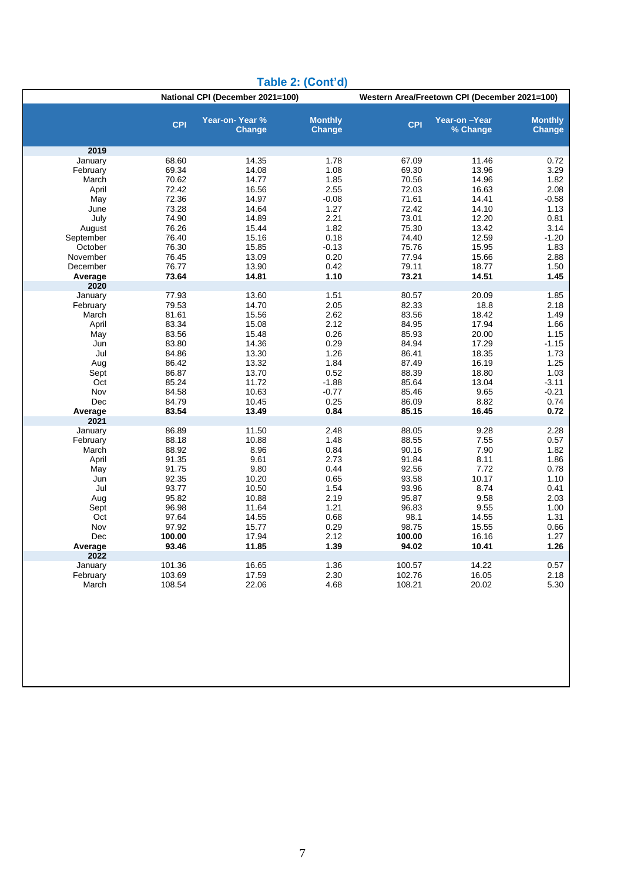| Table 2: (Cont'd) |                |                                  |                                 |                                               |                          |                          |  |  |  |  |  |  |
|-------------------|----------------|----------------------------------|---------------------------------|-----------------------------------------------|--------------------------|--------------------------|--|--|--|--|--|--|
|                   |                | National CPI (December 2021=100) |                                 | Western Area/Freetown CPI (December 2021=100) |                          |                          |  |  |  |  |  |  |
|                   | <b>CPI</b>     | Year-on-Year %<br><b>Change</b>  | <b>Monthly</b><br><b>Change</b> | <b>CPI</b>                                    | Year-on-Year<br>% Change | <b>Monthly</b><br>Change |  |  |  |  |  |  |
| 2019              |                |                                  |                                 |                                               |                          |                          |  |  |  |  |  |  |
| January           | 68.60          | 14.35                            | 1.78                            | 67.09                                         | 11.46                    | 0.72                     |  |  |  |  |  |  |
| February          | 69.34          | 14.08                            | 1.08                            | 69.30                                         | 13.96                    | 3.29                     |  |  |  |  |  |  |
| March             | 70.62          | 14.77                            | 1.85                            | 70.56                                         | 14.96                    | 1.82                     |  |  |  |  |  |  |
| April             | 72.42          | 16.56                            | 2.55                            | 72.03                                         | 16.63                    | 2.08                     |  |  |  |  |  |  |
| May               | 72.36          | 14.97                            | $-0.08$                         | 71.61                                         | 14.41                    | $-0.58$                  |  |  |  |  |  |  |
| June              | 73.28          | 14.64                            | 1.27                            | 72.42                                         | 14.10                    | 1.13                     |  |  |  |  |  |  |
| July<br>August    | 74.90<br>76.26 | 14.89<br>15.44                   | 2.21<br>1.82                    | 73.01<br>75.30                                | 12.20<br>13.42           | 0.81<br>3.14             |  |  |  |  |  |  |
| September         | 76.40          | 15.16                            | 0.18                            | 74.40                                         | 12.59                    | $-1.20$                  |  |  |  |  |  |  |
| October           | 76.30          | 15.85                            | $-0.13$                         | 75.76                                         | 15.95                    | 1.83                     |  |  |  |  |  |  |
| November          | 76.45          | 13.09                            | 0.20                            | 77.94                                         | 15.66                    | 2.88                     |  |  |  |  |  |  |
| December          | 76.77          | 13.90                            | 0.42                            | 79.11                                         | 18.77                    | 1.50                     |  |  |  |  |  |  |
| Average           | 73.64          | 14.81                            | 1.10                            | 73.21                                         | 14.51                    | 1.45                     |  |  |  |  |  |  |
| 2020              |                |                                  |                                 |                                               |                          |                          |  |  |  |  |  |  |
| January           | 77.93          | 13.60                            | 1.51                            | 80.57                                         | 20.09                    | 1.85                     |  |  |  |  |  |  |
| February<br>March | 79.53<br>81.61 | 14.70<br>15.56                   | 2.05<br>2.62                    | 82.33<br>83.56                                | 18.8<br>18.42            | 2.18<br>1.49             |  |  |  |  |  |  |
| April             | 83.34          | 15.08                            | 2.12                            | 84.95                                         | 17.94                    | 1.66                     |  |  |  |  |  |  |
| May               | 83.56          | 15.48                            | 0.26                            | 85.93                                         | 20.00                    | 1.15                     |  |  |  |  |  |  |
| Jun               | 83.80          | 14.36                            | 0.29                            | 84.94                                         | 17.29                    | $-1.15$                  |  |  |  |  |  |  |
| Jul               | 84.86          | 13.30                            | 1.26                            | 86.41                                         | 18.35                    | 1.73                     |  |  |  |  |  |  |
| Aug               | 86.42          | 13.32                            | 1.84                            | 87.49                                         | 16.19                    | 1.25                     |  |  |  |  |  |  |
| Sept              | 86.87          | 13.70                            | 0.52                            | 88.39                                         | 18.80                    | 1.03                     |  |  |  |  |  |  |
| Oct               | 85.24          | 11.72                            | $-1.88$                         | 85.64                                         | 13.04                    | $-3.11$                  |  |  |  |  |  |  |
| Nov<br>Dec        | 84.58<br>84.79 | 10.63<br>10.45                   | $-0.77$                         | 85.46                                         | 9.65<br>8.82             | -0.21                    |  |  |  |  |  |  |
| Average           | 83.54          | 13.49                            | 0.25<br>0.84                    | 86.09<br>85.15                                | 16.45                    | 0.74<br>0.72             |  |  |  |  |  |  |
| 2021              |                |                                  |                                 |                                               |                          |                          |  |  |  |  |  |  |
| January           | 86.89          | 11.50                            | 2.48                            | 88.05                                         | 9.28                     | 2.28                     |  |  |  |  |  |  |
| February          | 88.18          | 10.88                            | 1.48                            | 88.55                                         | 7.55                     | 0.57                     |  |  |  |  |  |  |
| March             | 88.92          | 8.96                             | 0.84                            | 90.16                                         | 7.90                     | 1.82                     |  |  |  |  |  |  |
| April             | 91.35          | 9.61                             | 2.73                            | 91.84                                         | 8.11<br>7.72             | 1.86                     |  |  |  |  |  |  |
| May<br>Jun        | 91.75<br>92.35 | 9.80<br>10.20                    | 0.44<br>0.65                    | 92.56<br>93.58                                | 10.17                    | 0.78<br>1.10             |  |  |  |  |  |  |
| Jul               | 93.77          | 10.50                            | 1.54                            | 93.96                                         | 8.74                     | 0.41                     |  |  |  |  |  |  |
| Aug               | 95.82          | 10.88                            | 2.19                            | 95.87                                         | 9.58                     | 2.03                     |  |  |  |  |  |  |
| Sept              | 96.98          | 11.64                            | 1.21                            | 96.83                                         | 9.55                     | 1.00                     |  |  |  |  |  |  |
| Oct               | 97.64          | 14.55                            | 0.68                            | 98.1                                          | 14.55                    | 1.31                     |  |  |  |  |  |  |
| Nov               | 97.92          | 15.77                            | 0.29                            | 98.75                                         | 15.55                    | 0.66                     |  |  |  |  |  |  |
| Dec               | 100.00         | 17.94                            | 2.12                            | 100.00                                        | 16.16                    | 1.27                     |  |  |  |  |  |  |
| Average<br>2022   | 93.46          | 11.85                            | 1.39                            | 94.02                                         | 10.41                    | 1.26                     |  |  |  |  |  |  |
| January           | 101.36         | 16.65                            | 1.36                            | 100.57                                        | 14.22                    | 0.57                     |  |  |  |  |  |  |
| February          | 103.69         | 17.59                            | 2.30                            | 102.76                                        | 16.05                    | 2.18                     |  |  |  |  |  |  |
| March             | 108.54         | 22.06                            | 4.68                            | 108.21                                        | 20.02                    | 5.30                     |  |  |  |  |  |  |
|                   |                |                                  |                                 |                                               |                          |                          |  |  |  |  |  |  |
|                   |                |                                  |                                 |                                               |                          |                          |  |  |  |  |  |  |
|                   |                |                                  |                                 |                                               |                          |                          |  |  |  |  |  |  |
|                   |                |                                  |                                 |                                               |                          |                          |  |  |  |  |  |  |
|                   |                |                                  |                                 |                                               |                          |                          |  |  |  |  |  |  |
|                   |                |                                  |                                 |                                               |                          |                          |  |  |  |  |  |  |
|                   |                |                                  |                                 |                                               |                          |                          |  |  |  |  |  |  |
|                   |                |                                  |                                 |                                               |                          |                          |  |  |  |  |  |  |
|                   |                |                                  |                                 |                                               |                          |                          |  |  |  |  |  |  |

#### **Table 2: (Cont'd)**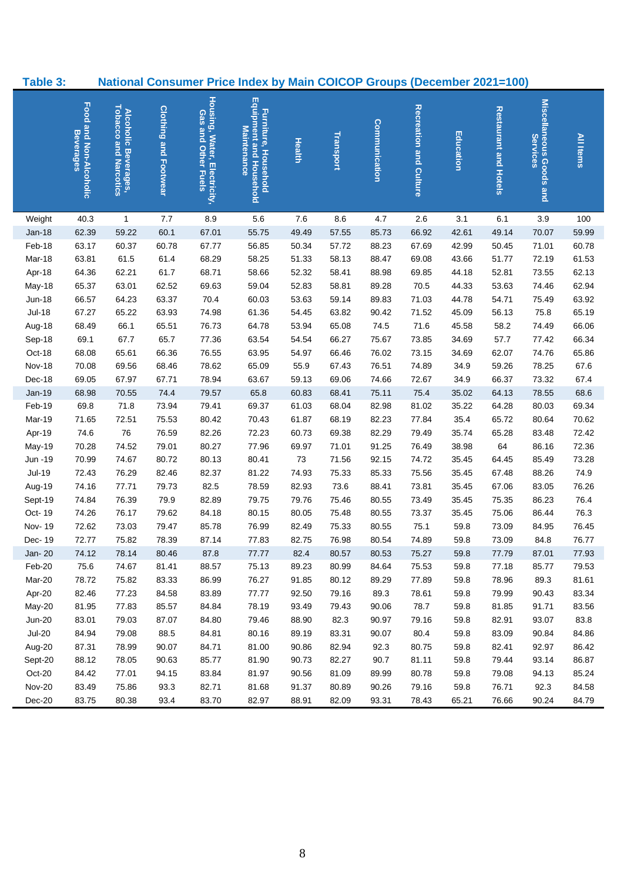<span id="page-10-0"></span>

| Table 3:          |                                            |                                                      |                              |                                                     | <b>National Consumer Price Index by Main COICOP Groups (December 2021=100)</b> |             |                |                |                        |                |                              |                                     |                |
|-------------------|--------------------------------------------|------------------------------------------------------|------------------------------|-----------------------------------------------------|--------------------------------------------------------------------------------|-------------|----------------|----------------|------------------------|----------------|------------------------------|-------------------------------------|----------------|
|                   | Food and Non-Alcoholic<br><b>Beverages</b> | <b>Tobacco and Narcotics</b><br>Alcoholic Beverages, | <b>Clothing and Footwear</b> | Housing, Water, Electricity,<br>Gas and Other Fuels | Equipment and Household<br><b>Furniture, Household</b><br>Maintenance          | Health      | Transport      | Communication  | Recreation and Culture | Education      | <b>Restaurant and Hotels</b> | Miscellaneous Goods and<br>Services | All Items      |
| Weight            | 40.3                                       | $\mathbf{1}$                                         | 7.7                          | 8.9                                                 | 5.6                                                                            | 7.6         | 8.6            | 4.7            | 2.6                    | 3.1            | 6.1                          | 3.9                                 | 100            |
| $Jan-18$          | 62.39                                      | 59.22                                                | 60.1                         | 67.01                                               | 55.75                                                                          | 49.49       | 57.55          | 85.73          | 66.92                  | 42.61          | 49.14                        | 70.07                               | 59.99          |
| Feb-18            | 63.17                                      | 60.37                                                | 60.78                        | 67.77                                               | 56.85                                                                          | 50.34       | 57.72          | 88.23          | 67.69                  | 42.99          | 50.45                        | 71.01                               | 60.78          |
| Mar-18            | 63.81                                      | 61.5                                                 | 61.4                         | 68.29                                               | 58.25                                                                          | 51.33       | 58.13          | 88.47          | 69.08                  | 43.66          | 51.77                        | 72.19                               | 61.53          |
| Apr-18            | 64.36                                      | 62.21                                                | 61.7                         | 68.71                                               | 58.66                                                                          | 52.32       | 58.41          | 88.98          | 69.85                  | 44.18          | 52.81                        | 73.55                               | 62.13          |
| May-18            | 65.37                                      | 63.01                                                | 62.52                        | 69.63                                               | 59.04                                                                          | 52.83       | 58.81          | 89.28          | 70.5                   | 44.33          | 53.63                        | 74.46                               | 62.94          |
| $Jun-18$          | 66.57                                      | 64.23                                                | 63.37                        | 70.4                                                | 60.03                                                                          | 53.63       | 59.14          | 89.83          | 71.03                  | 44.78          | 54.71                        | 75.49                               | 63.92          |
| $Jul-18$          | 67.27                                      | 65.22                                                | 63.93                        | 74.98                                               | 61.36                                                                          | 54.45       | 63.82          | 90.42          | 71.52                  | 45.09          | 56.13                        | 75.8                                | 65.19          |
| Aug-18            | 68.49                                      | 66.1                                                 | 65.51                        | 76.73                                               | 64.78                                                                          | 53.94       | 65.08          | 74.5           | 71.6                   | 45.58          | 58.2                         | 74.49                               | 66.06          |
| Sep-18            | 69.1                                       | 67.7                                                 | 65.7                         | 77.36                                               | 63.54                                                                          | 54.54       | 66.27          | 75.67          | 73.85                  | 34.69          | 57.7                         | 77.42                               | 66.34          |
| Oct-18            | 68.08                                      | 65.61                                                | 66.36                        | 76.55                                               | 63.95                                                                          | 54.97       | 66.46          | 76.02          | 73.15                  | 34.69          | 62.07                        | 74.76                               | 65.86          |
| Nov-18            | 70.08                                      | 69.56                                                | 68.46                        | 78.62                                               | 65.09                                                                          | 55.9        | 67.43          | 76.51          | 74.89                  | 34.9           | 59.26                        | 78.25                               | 67.6           |
| Dec-18            | 69.05                                      | 67.97                                                | 67.71                        | 78.94                                               | 63.67                                                                          | 59.13       | 69.06          | 74.66          | 72.67                  | 34.9           | 66.37                        | 73.32                               | 67.4           |
| Jan-19            | 68.98                                      | 70.55                                                | 74.4                         | 79.57                                               | 65.8                                                                           | 60.83       | 68.41          | 75.11          | 75.4                   | 35.02          | 64.13                        | 78.55                               | 68.6           |
| Feb-19            | 69.8                                       | 71.8                                                 | 73.94                        | 79.41                                               | 69.37                                                                          | 61.03       | 68.04          | 82.98          | 81.02                  | 35.22          | 64.28                        | 80.03                               | 69.34          |
| Mar-19            | 71.65                                      | 72.51                                                | 75.53                        | 80.42                                               | 70.43                                                                          | 61.87       | 68.19          | 82.23          | 77.84                  | 35.4           | 65.72                        | 80.64                               | 70.62          |
| Apr-19            | 74.6                                       | 76                                                   | 76.59                        | 82.26                                               | 72.23                                                                          | 60.73       | 69.38          | 82.29          | 79.49                  | 35.74          | 65.28                        | 83.48                               | 72.42          |
| May-19            | 70.28<br>70.99                             | 74.52                                                | 79.01<br>80.72               | 80.27<br>80.13                                      | 77.96<br>80.41                                                                 | 69.97<br>73 | 71.01          | 91.25<br>92.15 | 76.49<br>74.72         | 38.98          | 64                           | 86.16<br>85.49                      | 72.36<br>73.28 |
| Jun -19<br>Jul-19 | 72.43                                      | 74.67<br>76.29                                       | 82.46                        | 82.37                                               | 81.22                                                                          | 74.93       | 71.56<br>75.33 | 85.33          |                        | 35.45          | 64.45                        | 88.26                               | 74.9           |
| Aug-19            | 74.16                                      | 77.71                                                | 79.73                        | 82.5                                                | 78.59                                                                          | 82.93       | 73.6           | 88.41          | 75.56<br>73.81         | 35.45<br>35.45 | 67.48<br>67.06               | 83.05                               | 76.26          |
| Sept-19           | 74.84                                      | 76.39                                                | 79.9                         | 82.89                                               | 79.75                                                                          | 79.76       | 75.46          | 80.55          | 73.49                  | 35.45          | 75.35                        | 86.23                               | 76.4           |
| Oct-19            | 74.26                                      | 76.17                                                | 79.62                        | 84.18                                               | 80.15                                                                          | 80.05       | 75.48          | 80.55          | 73.37                  | 35.45          | 75.06                        | 86.44                               | 76.3           |
| Nov-19            | 72.62                                      | 73.03                                                | 79.47                        | 85.78                                               | 76.99                                                                          | 82.49       | 75.33          | 80.55          | 75.1                   | 59.8           | 73.09                        | 84.95                               | 76.45          |
| Dec-19            | 72.77                                      | 75.82                                                | 78.39                        | 87.14                                               | 77.83                                                                          | 82.75       | 76.98          | 80.54          | 74.89                  | 59.8           | 73.09                        | 84.8                                | 76.77          |
| Jan- 20           | 74.12                                      | 78.14                                                | 80.46                        | 87.8                                                | 77.77                                                                          | 82.4        | 80.57          | 80.53          | 75.27                  | 59.8           | 77.79                        | 87.01                               | 77.93          |
| Feb-20            | 75.6                                       | 74.67                                                | 81.41                        | 88.57                                               | 75.13                                                                          | 89.23       | 80.99          | 84.64          | 75.53                  | 59.8           | 77.18                        | 85.77                               | 79.53          |
| Mar-20            | 78.72                                      | 75.82                                                | 83.33                        | 86.99                                               | 76.27                                                                          | 91.85       | 80.12          | 89.29          | 77.89                  | 59.8           | 78.96                        | 89.3                                | 81.61          |
| Apr-20            | 82.46                                      | 77.23                                                | 84.58                        | 83.89                                               | 77.77                                                                          | 92.50       | 79.16          | 89.3           | 78.61                  | 59.8           | 79.99                        | 90.43                               | 83.34          |
| May-20            | 81.95                                      | 77.83                                                | 85.57                        | 84.84                                               | 78.19                                                                          | 93.49       | 79.43          | 90.06          | 78.7                   | 59.8           | 81.85                        | 91.71                               | 83.56          |
| <b>Jun-20</b>     | 83.01                                      | 79.03                                                | 87.07                        | 84.80                                               | 79.46                                                                          | 88.90       | 82.3           | 90.97          | 79.16                  | 59.8           | 82.91                        | 93.07                               | 83.8           |
| $Jul-20$          | 84.94                                      | 79.08                                                | 88.5                         | 84.81                                               | 80.16                                                                          | 89.19       | 83.31          | 90.07          | 80.4                   | 59.8           | 83.09                        | 90.84                               | 84.86          |
| Aug-20            | 87.31                                      | 78.99                                                | 90.07                        | 84.71                                               | 81.00                                                                          | 90.86       | 82.94          | 92.3           | 80.75                  | 59.8           | 82.41                        | 92.97                               | 86.42          |
| Sept-20           | 88.12                                      | 78.05                                                | 90.63                        | 85.77                                               | 81.90                                                                          | 90.73       | 82.27          | 90.7           | 81.11                  | 59.8           | 79.44                        | 93.14                               | 86.87          |
| Oct-20            | 84.42                                      | 77.01                                                | 94.15                        | 83.84                                               | 81.97                                                                          | 90.56       | 81.09          | 89.99          | 80.78                  | 59.8           | 79.08                        | 94.13                               | 85.24          |
| <b>Nov-20</b>     | 83.49                                      | 75.86                                                | 93.3                         | 82.71                                               | 81.68                                                                          | 91.37       | 80.89          | 90.26          | 79.16                  | 59.8           | 76.71                        | 92.3                                | 84.58          |
| Dec-20            | 83.75                                      | 80.38                                                | 93.4                         | 83.70                                               | 82.97                                                                          | 88.91       | 82.09          | 93.31          | 78.43                  | 65.21          | 76.66                        | 90.24                               | 84.79          |